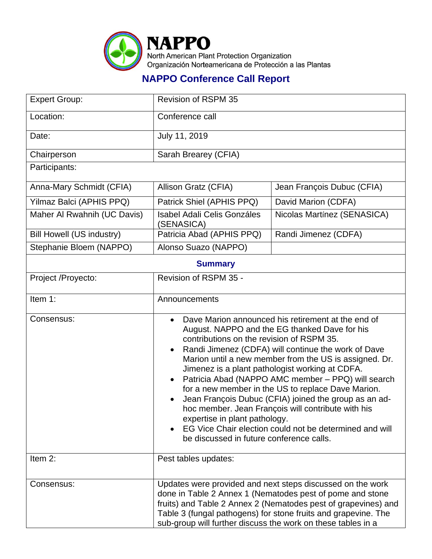

## **NAPPO Conference Call Report**

| <b>Expert Group:</b>             | Revision of RSPM 35                                                                                                                                                                                                                                                                                                                                                                                                                                                                                                                                                                                                                                                                                                            |                             |  |
|----------------------------------|--------------------------------------------------------------------------------------------------------------------------------------------------------------------------------------------------------------------------------------------------------------------------------------------------------------------------------------------------------------------------------------------------------------------------------------------------------------------------------------------------------------------------------------------------------------------------------------------------------------------------------------------------------------------------------------------------------------------------------|-----------------------------|--|
| Location:                        | Conference call                                                                                                                                                                                                                                                                                                                                                                                                                                                                                                                                                                                                                                                                                                                |                             |  |
| Date:                            | July 11, 2019                                                                                                                                                                                                                                                                                                                                                                                                                                                                                                                                                                                                                                                                                                                  |                             |  |
| Chairperson                      | Sarah Brearey (CFIA)                                                                                                                                                                                                                                                                                                                                                                                                                                                                                                                                                                                                                                                                                                           |                             |  |
| Participants:                    |                                                                                                                                                                                                                                                                                                                                                                                                                                                                                                                                                                                                                                                                                                                                |                             |  |
| Anna-Mary Schmidt (CFIA)         | Allison Gratz (CFIA)                                                                                                                                                                                                                                                                                                                                                                                                                                                                                                                                                                                                                                                                                                           | Jean François Dubuc (CFIA)  |  |
| Yilmaz Balci (APHIS PPQ)         | Patrick Shiel (APHIS PPQ)                                                                                                                                                                                                                                                                                                                                                                                                                                                                                                                                                                                                                                                                                                      | David Marion (CDFA)         |  |
| Maher Al Rwahnih (UC Davis)      | <b>Isabel Adali Celis Gonzáles</b><br>(SENASICA)                                                                                                                                                                                                                                                                                                                                                                                                                                                                                                                                                                                                                                                                               | Nicolas Martínez (SENASICA) |  |
| <b>Bill Howell (US industry)</b> | Patricia Abad (APHIS PPQ)                                                                                                                                                                                                                                                                                                                                                                                                                                                                                                                                                                                                                                                                                                      | Randi Jimenez (CDFA)        |  |
| Stephanie Bloem (NAPPO)          | Alonso Suazo (NAPPO)                                                                                                                                                                                                                                                                                                                                                                                                                                                                                                                                                                                                                                                                                                           |                             |  |
| <b>Summary</b>                   |                                                                                                                                                                                                                                                                                                                                                                                                                                                                                                                                                                                                                                                                                                                                |                             |  |
| Project /Proyecto:               | Revision of RSPM 35 -                                                                                                                                                                                                                                                                                                                                                                                                                                                                                                                                                                                                                                                                                                          |                             |  |
| Item 1:                          | Announcements                                                                                                                                                                                                                                                                                                                                                                                                                                                                                                                                                                                                                                                                                                                  |                             |  |
| Consensus:                       | Dave Marion announced his retirement at the end of<br>$\bullet$<br>August. NAPPO and the EG thanked Dave for his<br>contributions on the revision of RSPM 35.<br>Randi Jimenez (CDFA) will continue the work of Dave<br>$\bullet$<br>Marion until a new member from the US is assigned. Dr.<br>Jimenez is a plant pathologist working at CDFA.<br>Patricia Abad (NAPPO AMC member - PPQ) will search<br>$\bullet$<br>for a new member in the US to replace Dave Marion.<br>Jean François Dubuc (CFIA) joined the group as an ad-<br>hoc member. Jean François will contribute with his<br>expertise in plant pathology.<br>EG Vice Chair election could not be determined and will<br>be discussed in future conference calls. |                             |  |
| Item 2:                          | Pest tables updates:                                                                                                                                                                                                                                                                                                                                                                                                                                                                                                                                                                                                                                                                                                           |                             |  |
| Consensus:                       | Updates were provided and next steps discussed on the work<br>done in Table 2 Annex 1 (Nematodes pest of pome and stone<br>fruits) and Table 2 Annex 2 (Nematodes pest of grapevines) and<br>Table 3 (fungal pathogens) for stone fruits and grapevine. The<br>sub-group will further discuss the work on these tables in a                                                                                                                                                                                                                                                                                                                                                                                                    |                             |  |